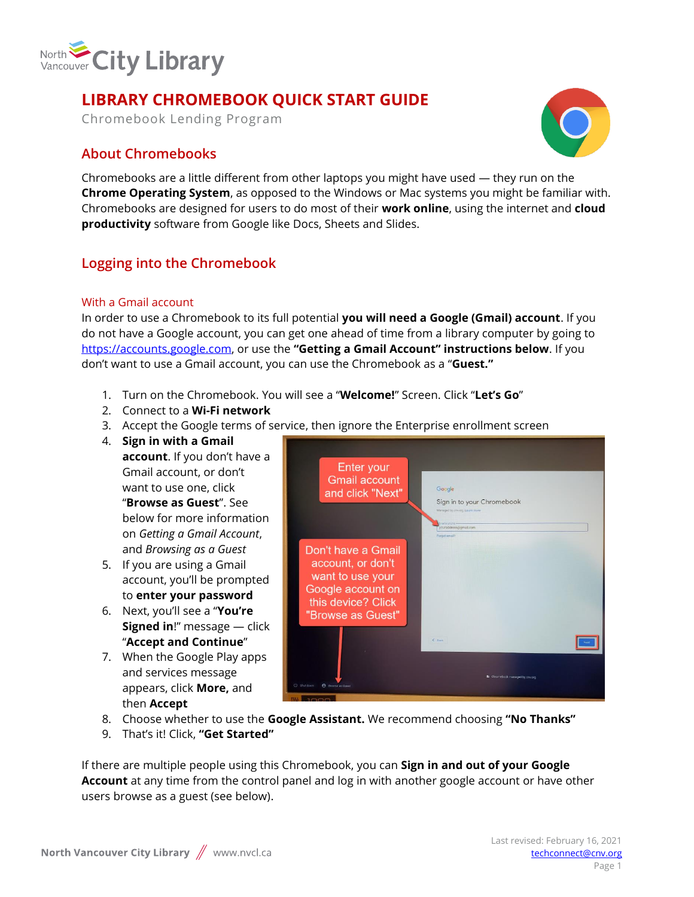

## **LIBRARY CHROMEBOOK QUICK START GUIDE**

Chromebook Lending Program

### **About Chromebooks**



Chromebooks are a little different from other laptops you might have used — they run on the **Chrome Operating System**, as opposed to the Windows or Mac systems you might be familiar with. Chromebooks are designed for users to do most of their **work online**, using the internet and **cloud productivity** software from Google like Docs, Sheets and Slides.

### **Logging into the Chromebook**

### With a Gmail account

In order to use a Chromebook to its full potential **you will need a Google (Gmail) account**. If you do not have a Google account, you can get one ahead of time from a library computer by going to [https://accounts.google.com,](https://accounts.google.com/) or use the **"Getting a Gmail Account" instructions below**. If you don't want to use a Gmail account, you can use the Chromebook as a "**Guest."**

- 1. Turn on the Chromebook. You will see a "**Welcome!**" Screen. Click "**Let's Go**"
- 2. Connect to a **Wi-Fi network**
- 3. Accept the Google terms of service, then ignore the Enterprise enrollment screen
- 4. **Sign in with a Gmail**

**account**. If you don't have a Gmail account, or don't want to use one, click "**Browse as Guest**". See below for more information on *Getting a Gmail Account*, and *Browsing as a Guest*

- 5. If you are using a Gmail account, you'll be prompted to **enter your password**
- 6. Next, you'll see a "**You're Signed in**!" message — click "**Accept and Continue**"
- 7. When the Google Play apps and services message appears, click **More,** and then **Accept**



- 8. Choose whether to use the **Google Assistant.** We recommend choosing **"No Thanks"**
- 9. That's it! Click, **"Get Started"**

If there are multiple people using this Chromebook, you can **Sign in and out of your Google Account** at any time from the control panel and log in with another google account or have other users browse as a guest (see below).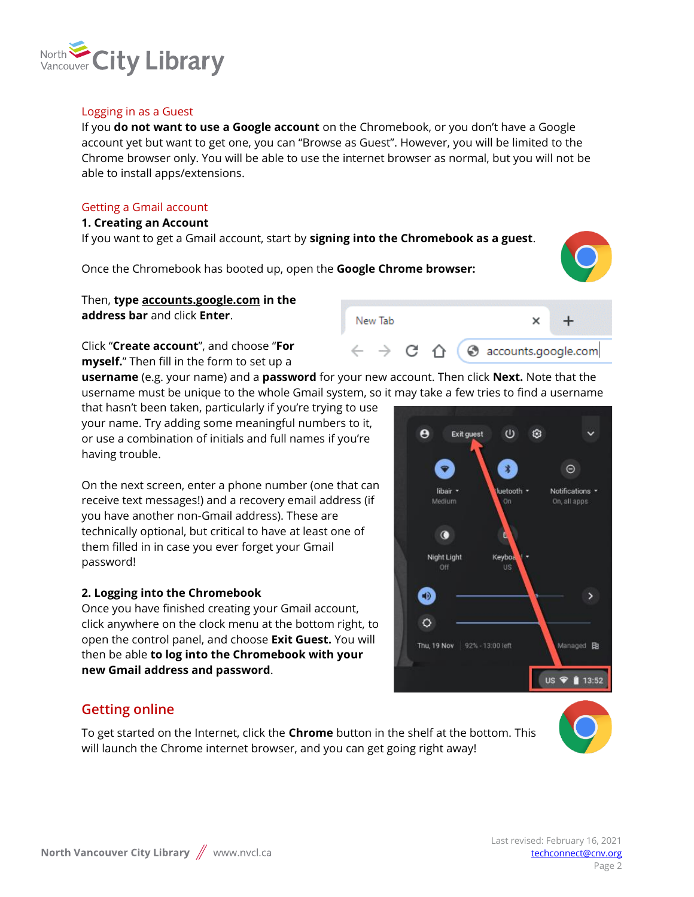

### Logging in as a Guest

If you **do not want to use a Google account** on the Chromebook, or you don't have a Google account yet but want to get one, you can "Browse as Guest". However, you will be limited to the Chrome browser only. You will be able to use the internet browser as normal, but you will not be able to install apps/extensions.

#### Getting a Gmail account

#### **1. Creating an Account**

If you want to get a Gmail account, start by **signing into the Chromebook as a guest**.

Once the Chromebook has booted up, open the **Google Chrome browser:** 



 $\times$ 

counts.google.com

### Then, **type accounts.google.com in the address bar** and click **Enter**.

Click "**Create account**", and choose "**For myself.**" Then fill in the form to set up a

**username** (e.g. your name) and a **password** for your new account. Then click **Next.** Note that the username must be unique to the whole Gmail system, so it may take a few tries to find a username

New Tab

that hasn't been taken, particularly if you're trying to use your name. Try adding some meaningful numbers to it, or use a combination of initials and full names if you're having trouble.

On the next screen, enter a phone number (one that can receive text messages!) and a recovery email address (if you have another non-Gmail address). These are technically optional, but critical to have at least one of them filled in in case you ever forget your Gmail password!

### **2. Logging into the Chromebook**

Once you have finished creating your Gmail account, click anywhere on the clock menu at the bottom right, to open the control panel, and choose **Exit Guest.** You will then be able **to log into the Chromebook with your new Gmail address and password**.

#### $\boldsymbol{\Theta}$  $\cup$ € **Exit guest**  $*$  $\Theta$  $\bullet$ Notifications \* libair : uetooth -Medium On, all apps  $\bullet$ Night Light Keybo  $\bigoplus$  $\circ$ Thu, 19 Nov 92% - 13:00 left Managed **R** US ♥ 13:52

### **Getting online**

To get started on the Internet, click the **Chrome** button in the shelf at the bottom. This will launch the Chrome internet browser, and you can get going right away!

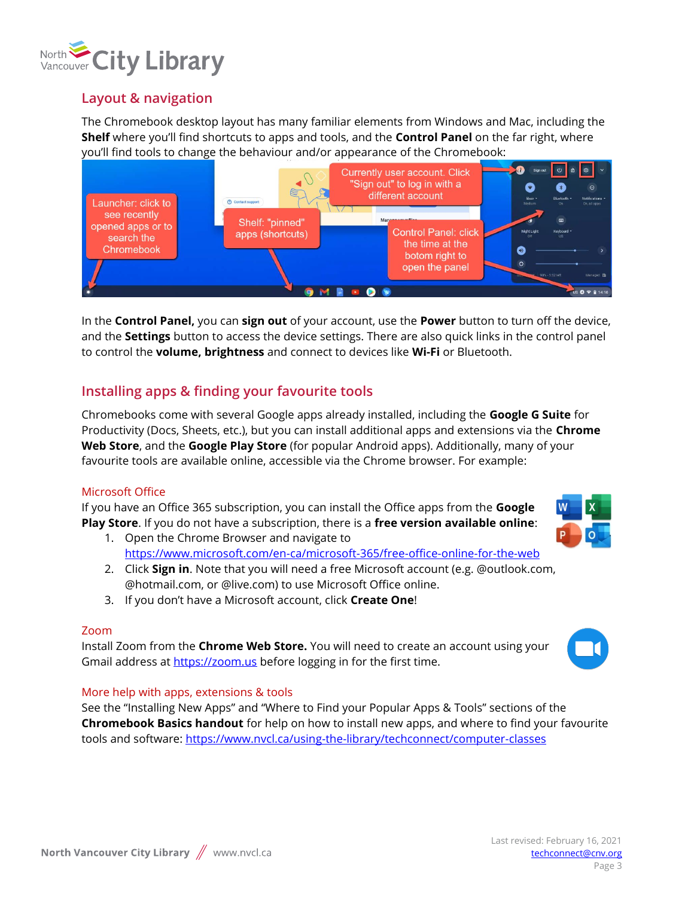

### **Layout & navigation**

The Chromebook desktop layout has many familiar elements from Windows and Mac, including the **Shelf** where you'll find shortcuts to apps and tools, and the **Control Panel** on the far right, where you'll find tools to change the behaviour and/or appearance of the Chromebook:



In the **Control Panel,** you can **sign out** of your account, use the **Power** button to turn off the device, and the **Settings** button to access the device settings. There are also quick links in the control panel to control the **volume, brightness** and connect to devices like **Wi-Fi** or Bluetooth.

### **Installing apps & finding your favourite tools**

Chromebooks come with several Google apps already installed, including the **Google G Suite** for Productivity (Docs, Sheets, etc.), but you can install additional apps and extensions via the **Chrome Web Store**, and the **Google Play Store** (for popular Android apps). Additionally, many of your favourite tools are available online, accessible via the Chrome browser. For example:

### Microsoft Office

If you have an Office 365 subscription, you can install the Office apps from the **Google Play Store**. If you do not have a subscription, there is a **free version available online**: 1. Open the Chrome Browser and navigate to

<https://www.microsoft.com/en-ca/microsoft-365/free-office-online-for-the-web>

- 2. Click **Sign in**. Note that you will need a free Microsoft account (e.g. @outlook.com, @hotmail.com, or @live.com) to use Microsoft Office online.
- 3. If you don't have a Microsoft account, click **Create One**!

### Zoom

Install Zoom from the **Chrome Web Store.** You will need to create an account using your Gmail address at [https://zoom.us](https://zoom.us/) before logging in for the first time.

### More help with apps, extensions & tools

See the "Installing New Apps" and "Where to Find your Popular Apps & Tools" sections of the **Chromebook Basics handout** for help on how to install new apps, and where to find your favourite tools and software:<https://www.nvcl.ca/using-the-library/techconnect/computer-classes>